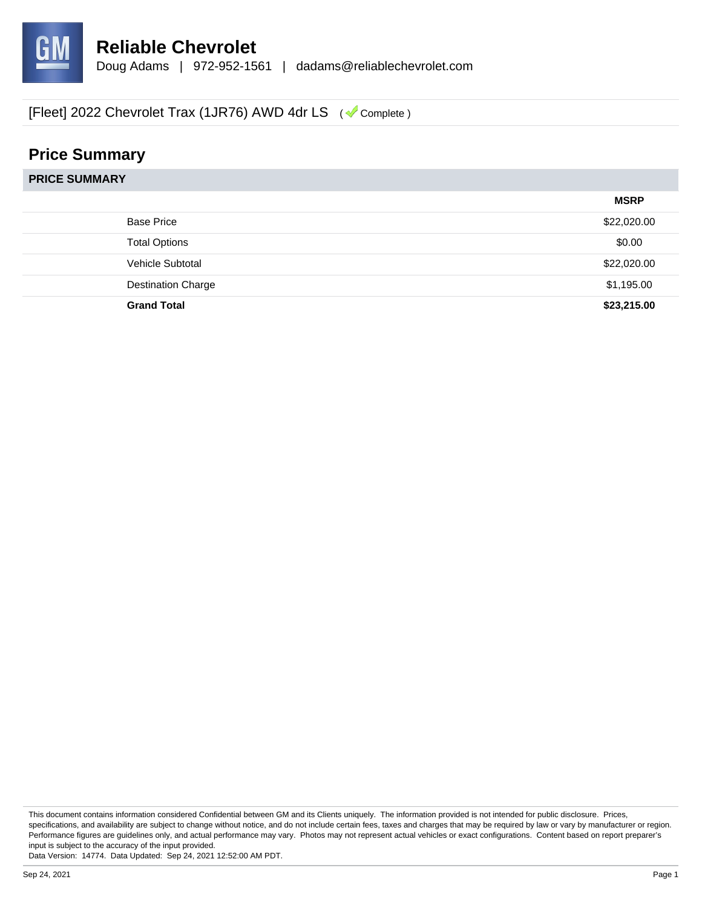

# **Price Summary**

| <b>PRICE SUMMARY</b> |                           |             |
|----------------------|---------------------------|-------------|
|                      |                           | <b>MSRP</b> |
|                      | <b>Base Price</b>         | \$22,020.00 |
|                      | <b>Total Options</b>      | \$0.00      |
|                      | Vehicle Subtotal          | \$22,020.00 |
|                      | <b>Destination Charge</b> | \$1,195.00  |
|                      | <b>Grand Total</b>        | \$23,215.00 |

This document contains information considered Confidential between GM and its Clients uniquely. The information provided is not intended for public disclosure. Prices, specifications, and availability are subject to change without notice, and do not include certain fees, taxes and charges that may be required by law or vary by manufacturer or region. Performance figures are guidelines only, and actual performance may vary. Photos may not represent actual vehicles or exact configurations. Content based on report preparer's input is subject to the accuracy of the input provided.

Data Version: 14774. Data Updated: Sep 24, 2021 12:52:00 AM PDT.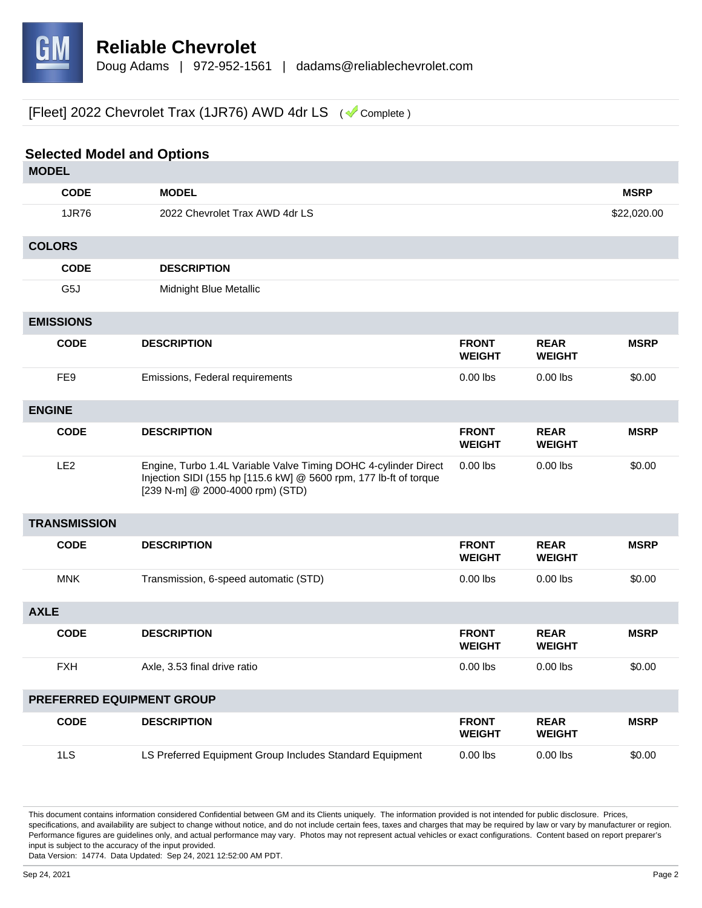

| <b>Selected Model and Options</b> |                                                                                                                                                                          |                               |                              |             |
|-----------------------------------|--------------------------------------------------------------------------------------------------------------------------------------------------------------------------|-------------------------------|------------------------------|-------------|
| <b>MODEL</b>                      |                                                                                                                                                                          |                               |                              |             |
| <b>CODE</b>                       | <b>MODEL</b>                                                                                                                                                             |                               |                              | <b>MSRP</b> |
| 1JR76                             | 2022 Chevrolet Trax AWD 4dr LS                                                                                                                                           |                               |                              | \$22,020.00 |
| <b>COLORS</b>                     |                                                                                                                                                                          |                               |                              |             |
| <b>CODE</b>                       | <b>DESCRIPTION</b>                                                                                                                                                       |                               |                              |             |
| G5J                               | Midnight Blue Metallic                                                                                                                                                   |                               |                              |             |
| <b>EMISSIONS</b>                  |                                                                                                                                                                          |                               |                              |             |
| <b>CODE</b>                       | <b>DESCRIPTION</b>                                                                                                                                                       | <b>FRONT</b><br><b>WEIGHT</b> | <b>REAR</b><br><b>WEIGHT</b> | <b>MSRP</b> |
| FE <sub>9</sub>                   | Emissions, Federal requirements                                                                                                                                          | $0.00$ lbs                    | $0.00$ lbs                   | \$0.00      |
| <b>ENGINE</b>                     |                                                                                                                                                                          |                               |                              |             |
| <b>CODE</b>                       | <b>DESCRIPTION</b>                                                                                                                                                       | <b>FRONT</b><br><b>WEIGHT</b> | <b>REAR</b><br><b>WEIGHT</b> | <b>MSRP</b> |
| LE <sub>2</sub>                   | Engine, Turbo 1.4L Variable Valve Timing DOHC 4-cylinder Direct<br>Injection SIDI (155 hp [115.6 kW] @ 5600 rpm, 177 lb-ft of torque<br>[239 N-m] @ 2000-4000 rpm) (STD) | $0.00$ lbs                    | $0.00$ lbs                   | \$0.00      |
| <b>TRANSMISSION</b>               |                                                                                                                                                                          |                               |                              |             |
| <b>CODE</b>                       | <b>DESCRIPTION</b>                                                                                                                                                       | <b>FRONT</b><br><b>WEIGHT</b> | <b>REAR</b><br><b>WEIGHT</b> | <b>MSRP</b> |
| <b>MNK</b>                        | Transmission, 6-speed automatic (STD)                                                                                                                                    | $0.00$ lbs                    | $0.00$ lbs                   | \$0.00      |
| <b>AXLE</b>                       |                                                                                                                                                                          |                               |                              |             |
| <b>CODE</b>                       | <b>DESCRIPTION</b>                                                                                                                                                       | <b>FRONT</b><br><b>WEIGHT</b> | <b>REAR</b><br><b>WEIGHT</b> | <b>MSRP</b> |
| <b>FXH</b>                        | Axle, 3.53 final drive ratio                                                                                                                                             | $0.00$ lbs                    | $0.00$ lbs                   | \$0.00      |
| PREFERRED EQUIPMENT GROUP         |                                                                                                                                                                          |                               |                              |             |
| <b>CODE</b>                       | <b>DESCRIPTION</b>                                                                                                                                                       | <b>FRONT</b><br><b>WEIGHT</b> | <b>REAR</b><br><b>WEIGHT</b> | <b>MSRP</b> |
| 1LS                               | LS Preferred Equipment Group Includes Standard Equipment                                                                                                                 | $0.00$ lbs                    | $0.00$ lbs                   | \$0.00      |

This document contains information considered Confidential between GM and its Clients uniquely. The information provided is not intended for public disclosure. Prices, specifications, and availability are subject to change without notice, and do not include certain fees, taxes and charges that may be required by law or vary by manufacturer or region. Performance figures are guidelines only, and actual performance may vary. Photos may not represent actual vehicles or exact configurations. Content based on report preparer's input is subject to the accuracy of the input provided.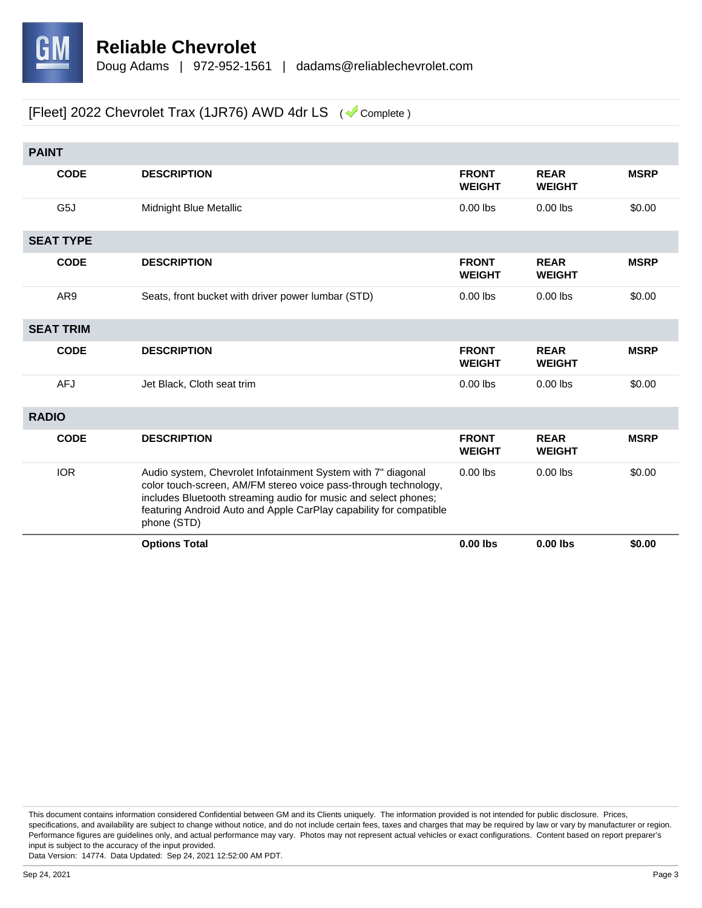

| <b>PAINT</b> |                  |                                                                                                                                                                                                                                                                                         |                               |                              |             |
|--------------|------------------|-----------------------------------------------------------------------------------------------------------------------------------------------------------------------------------------------------------------------------------------------------------------------------------------|-------------------------------|------------------------------|-------------|
|              | <b>CODE</b>      | <b>DESCRIPTION</b>                                                                                                                                                                                                                                                                      | <b>FRONT</b><br><b>WEIGHT</b> | <b>REAR</b><br><b>WEIGHT</b> | <b>MSRP</b> |
|              | G5J              | Midnight Blue Metallic                                                                                                                                                                                                                                                                  | $0.00$ lbs                    | $0.00$ lbs                   | \$0.00      |
|              | <b>SEAT TYPE</b> |                                                                                                                                                                                                                                                                                         |                               |                              |             |
|              | <b>CODE</b>      | <b>DESCRIPTION</b>                                                                                                                                                                                                                                                                      | <b>FRONT</b><br><b>WEIGHT</b> | <b>REAR</b><br><b>WEIGHT</b> | <b>MSRP</b> |
|              | AR <sub>9</sub>  | Seats, front bucket with driver power lumbar (STD)                                                                                                                                                                                                                                      | $0.00$ lbs                    | $0.00$ lbs                   | \$0.00      |
|              | <b>SEAT TRIM</b> |                                                                                                                                                                                                                                                                                         |                               |                              |             |
|              | <b>CODE</b>      | <b>DESCRIPTION</b>                                                                                                                                                                                                                                                                      | <b>FRONT</b><br><b>WEIGHT</b> | <b>REAR</b><br><b>WEIGHT</b> | <b>MSRP</b> |
|              | <b>AFJ</b>       | Jet Black, Cloth seat trim                                                                                                                                                                                                                                                              | $0.00$ lbs                    | $0.00$ lbs                   | \$0.00      |
| <b>RADIO</b> |                  |                                                                                                                                                                                                                                                                                         |                               |                              |             |
|              | <b>CODE</b>      | <b>DESCRIPTION</b>                                                                                                                                                                                                                                                                      | <b>FRONT</b><br><b>WEIGHT</b> | <b>REAR</b><br><b>WEIGHT</b> | <b>MSRP</b> |
|              | <b>IOR</b>       | Audio system, Chevrolet Infotainment System with 7" diagonal<br>color touch-screen, AM/FM stereo voice pass-through technology,<br>includes Bluetooth streaming audio for music and select phones;<br>featuring Android Auto and Apple CarPlay capability for compatible<br>phone (STD) | $0.00$ lbs                    | $0.00$ lbs                   | \$0.00      |
|              |                  | <b>Options Total</b>                                                                                                                                                                                                                                                                    | $0.00$ lbs                    | $0.00$ lbs                   | \$0.00      |

This document contains information considered Confidential between GM and its Clients uniquely. The information provided is not intended for public disclosure. Prices, specifications, and availability are subject to change without notice, and do not include certain fees, taxes and charges that may be required by law or vary by manufacturer or region. Performance figures are guidelines only, and actual performance may vary. Photos may not represent actual vehicles or exact configurations. Content based on report preparer's input is subject to the accuracy of the input provided.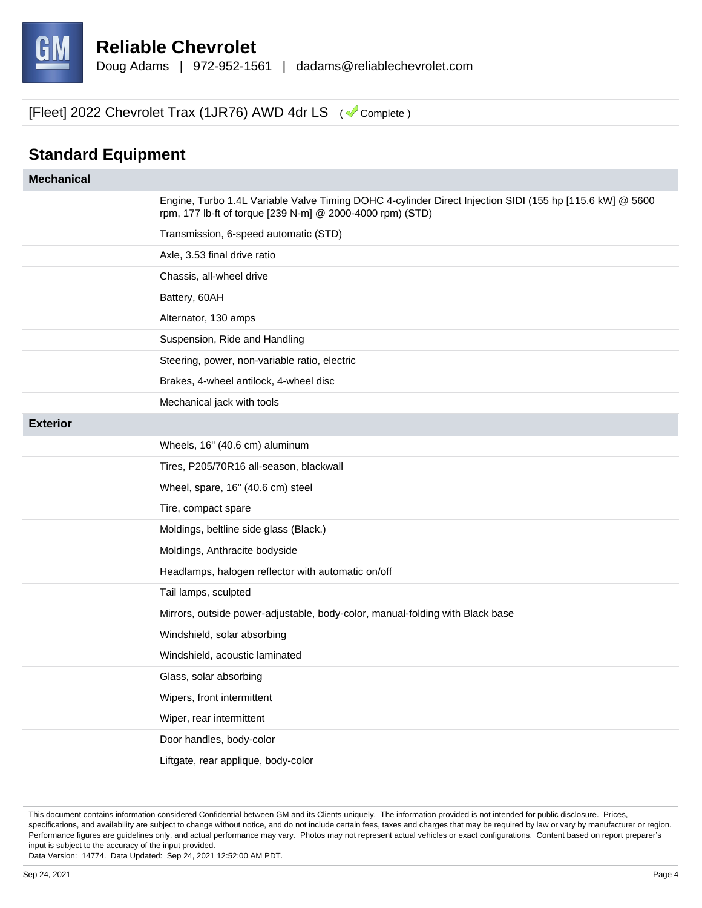

## **Standard Equipment**

| <b>Mechanical</b> |                                                                                                                                                                       |
|-------------------|-----------------------------------------------------------------------------------------------------------------------------------------------------------------------|
|                   | Engine, Turbo 1.4L Variable Valve Timing DOHC 4-cylinder Direct Injection SIDI (155 hp [115.6 kW] @ 5600<br>rpm, 177 lb-ft of torque [239 N-m] @ 2000-4000 rpm) (STD) |
|                   | Transmission, 6-speed automatic (STD)                                                                                                                                 |
|                   | Axle, 3.53 final drive ratio                                                                                                                                          |
|                   | Chassis, all-wheel drive                                                                                                                                              |
|                   | Battery, 60AH                                                                                                                                                         |
|                   | Alternator, 130 amps                                                                                                                                                  |
|                   | Suspension, Ride and Handling                                                                                                                                         |
|                   | Steering, power, non-variable ratio, electric                                                                                                                         |
|                   | Brakes, 4-wheel antilock, 4-wheel disc                                                                                                                                |
|                   | Mechanical jack with tools                                                                                                                                            |
| <b>Exterior</b>   |                                                                                                                                                                       |
|                   | Wheels, 16" (40.6 cm) aluminum                                                                                                                                        |
|                   | Tires, P205/70R16 all-season, blackwall                                                                                                                               |
|                   | Wheel, spare, 16" (40.6 cm) steel                                                                                                                                     |
|                   | Tire, compact spare                                                                                                                                                   |
|                   | Moldings, beltline side glass (Black.)                                                                                                                                |
|                   | Moldings, Anthracite bodyside                                                                                                                                         |
|                   | Headlamps, halogen reflector with automatic on/off                                                                                                                    |
|                   | Tail lamps, sculpted                                                                                                                                                  |
|                   | Mirrors, outside power-adjustable, body-color, manual-folding with Black base                                                                                         |
|                   | Windshield, solar absorbing                                                                                                                                           |
|                   | Windshield, acoustic laminated                                                                                                                                        |
|                   | Glass, solar absorbing                                                                                                                                                |
|                   | Wipers, front intermittent                                                                                                                                            |
|                   | Wiper, rear intermittent                                                                                                                                              |
|                   | Door handles, body-color                                                                                                                                              |
|                   | Liftgate, rear applique, body-color                                                                                                                                   |

This document contains information considered Confidential between GM and its Clients uniquely. The information provided is not intended for public disclosure. Prices, specifications, and availability are subject to change without notice, and do not include certain fees, taxes and charges that may be required by law or vary by manufacturer or region. Performance figures are guidelines only, and actual performance may vary. Photos may not represent actual vehicles or exact configurations. Content based on report preparer's input is subject to the accuracy of the input provided.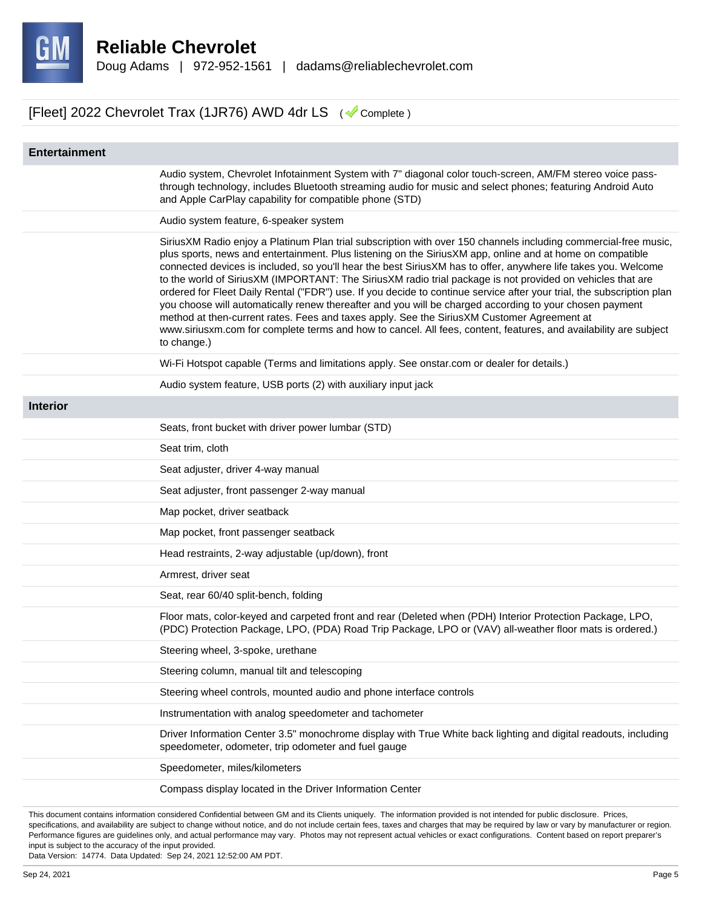

| <b>Entertainment</b> |                                                                                                                                                                                                                                                                                                                                                                                                                                                                                                                                                                                                                                                                                                                                                                                                                                                                                                                                   |
|----------------------|-----------------------------------------------------------------------------------------------------------------------------------------------------------------------------------------------------------------------------------------------------------------------------------------------------------------------------------------------------------------------------------------------------------------------------------------------------------------------------------------------------------------------------------------------------------------------------------------------------------------------------------------------------------------------------------------------------------------------------------------------------------------------------------------------------------------------------------------------------------------------------------------------------------------------------------|
|                      | Audio system, Chevrolet Infotainment System with 7" diagonal color touch-screen, AM/FM stereo voice pass-<br>through technology, includes Bluetooth streaming audio for music and select phones; featuring Android Auto<br>and Apple CarPlay capability for compatible phone (STD)                                                                                                                                                                                                                                                                                                                                                                                                                                                                                                                                                                                                                                                |
|                      | Audio system feature, 6-speaker system                                                                                                                                                                                                                                                                                                                                                                                                                                                                                                                                                                                                                                                                                                                                                                                                                                                                                            |
|                      | SiriusXM Radio enjoy a Platinum Plan trial subscription with over 150 channels including commercial-free music,<br>plus sports, news and entertainment. Plus listening on the SiriusXM app, online and at home on compatible<br>connected devices is included, so you'll hear the best SiriusXM has to offer, anywhere life takes you. Welcome<br>to the world of SiriusXM (IMPORTANT: The SiriusXM radio trial package is not provided on vehicles that are<br>ordered for Fleet Daily Rental ("FDR") use. If you decide to continue service after your trial, the subscription plan<br>you choose will automatically renew thereafter and you will be charged according to your chosen payment<br>method at then-current rates. Fees and taxes apply. See the SiriusXM Customer Agreement at<br>www.siriusxm.com for complete terms and how to cancel. All fees, content, features, and availability are subject<br>to change.) |
|                      | Wi-Fi Hotspot capable (Terms and limitations apply. See onstar.com or dealer for details.)                                                                                                                                                                                                                                                                                                                                                                                                                                                                                                                                                                                                                                                                                                                                                                                                                                        |
|                      | Audio system feature, USB ports (2) with auxiliary input jack                                                                                                                                                                                                                                                                                                                                                                                                                                                                                                                                                                                                                                                                                                                                                                                                                                                                     |
| <b>Interior</b>      |                                                                                                                                                                                                                                                                                                                                                                                                                                                                                                                                                                                                                                                                                                                                                                                                                                                                                                                                   |
|                      | Seats, front bucket with driver power lumbar (STD)                                                                                                                                                                                                                                                                                                                                                                                                                                                                                                                                                                                                                                                                                                                                                                                                                                                                                |
|                      | Seat trim, cloth                                                                                                                                                                                                                                                                                                                                                                                                                                                                                                                                                                                                                                                                                                                                                                                                                                                                                                                  |
|                      | Seat adjuster, driver 4-way manual                                                                                                                                                                                                                                                                                                                                                                                                                                                                                                                                                                                                                                                                                                                                                                                                                                                                                                |
|                      | Seat adjuster, front passenger 2-way manual                                                                                                                                                                                                                                                                                                                                                                                                                                                                                                                                                                                                                                                                                                                                                                                                                                                                                       |
|                      | Map pocket, driver seatback                                                                                                                                                                                                                                                                                                                                                                                                                                                                                                                                                                                                                                                                                                                                                                                                                                                                                                       |
|                      | Map pocket, front passenger seatback                                                                                                                                                                                                                                                                                                                                                                                                                                                                                                                                                                                                                                                                                                                                                                                                                                                                                              |
|                      | Head restraints, 2-way adjustable (up/down), front                                                                                                                                                                                                                                                                                                                                                                                                                                                                                                                                                                                                                                                                                                                                                                                                                                                                                |
|                      | Armrest, driver seat                                                                                                                                                                                                                                                                                                                                                                                                                                                                                                                                                                                                                                                                                                                                                                                                                                                                                                              |
|                      | Seat, rear 60/40 split-bench, folding                                                                                                                                                                                                                                                                                                                                                                                                                                                                                                                                                                                                                                                                                                                                                                                                                                                                                             |
|                      | Floor mats, color-keyed and carpeted front and rear (Deleted when (PDH) Interior Protection Package, LPO,<br>(PDC) Protection Package, LPO, (PDA) Road Trip Package, LPO or (VAV) all-weather floor mats is ordered.)                                                                                                                                                                                                                                                                                                                                                                                                                                                                                                                                                                                                                                                                                                             |
|                      | Steering wheel, 3-spoke, urethane                                                                                                                                                                                                                                                                                                                                                                                                                                                                                                                                                                                                                                                                                                                                                                                                                                                                                                 |
|                      | Steering column, manual tilt and telescoping                                                                                                                                                                                                                                                                                                                                                                                                                                                                                                                                                                                                                                                                                                                                                                                                                                                                                      |
|                      | Steering wheel controls, mounted audio and phone interface controls                                                                                                                                                                                                                                                                                                                                                                                                                                                                                                                                                                                                                                                                                                                                                                                                                                                               |
|                      | Instrumentation with analog speedometer and tachometer                                                                                                                                                                                                                                                                                                                                                                                                                                                                                                                                                                                                                                                                                                                                                                                                                                                                            |
|                      | Driver Information Center 3.5" monochrome display with True White back lighting and digital readouts, including<br>speedometer, odometer, trip odometer and fuel gauge                                                                                                                                                                                                                                                                                                                                                                                                                                                                                                                                                                                                                                                                                                                                                            |
|                      | Speedometer, miles/kilometers                                                                                                                                                                                                                                                                                                                                                                                                                                                                                                                                                                                                                                                                                                                                                                                                                                                                                                     |
|                      | Compass display located in the Driver Information Center                                                                                                                                                                                                                                                                                                                                                                                                                                                                                                                                                                                                                                                                                                                                                                                                                                                                          |

This document contains information considered Confidential between GM and its Clients uniquely. The information provided is not intended for public disclosure. Prices, specifications, and availability are subject to change without notice, and do not include certain fees, taxes and charges that may be required by law or vary by manufacturer or region. Performance figures are guidelines only, and actual performance may vary. Photos may not represent actual vehicles or exact configurations. Content based on report preparer's input is subject to the accuracy of the input provided.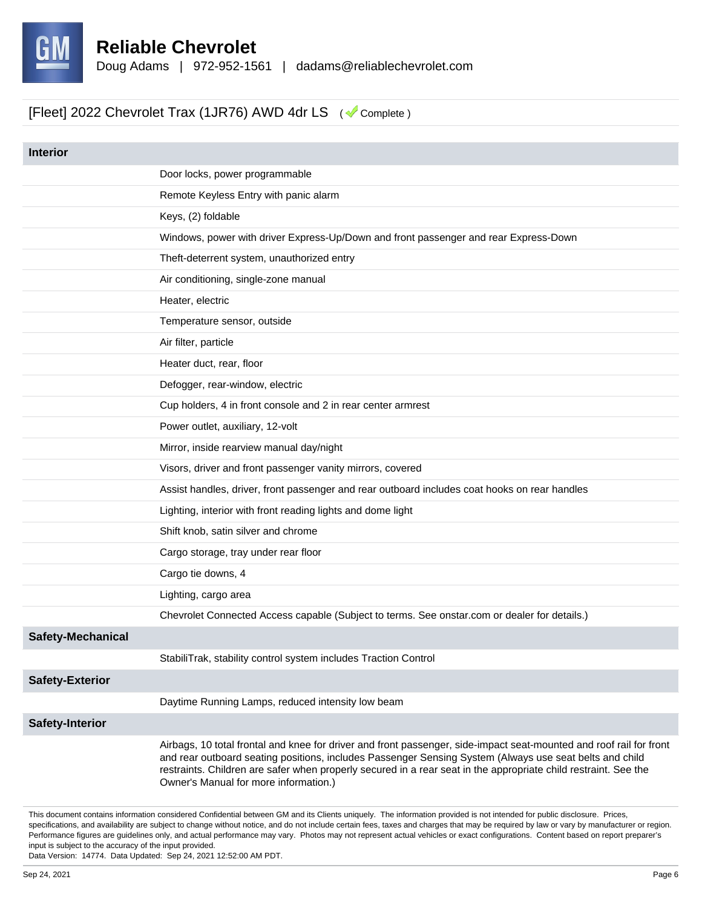

| <b>Interior</b>          |                                                                                                                                                                                                                                                                                                                                                                                            |
|--------------------------|--------------------------------------------------------------------------------------------------------------------------------------------------------------------------------------------------------------------------------------------------------------------------------------------------------------------------------------------------------------------------------------------|
|                          | Door locks, power programmable                                                                                                                                                                                                                                                                                                                                                             |
|                          | Remote Keyless Entry with panic alarm                                                                                                                                                                                                                                                                                                                                                      |
|                          |                                                                                                                                                                                                                                                                                                                                                                                            |
|                          | Keys, (2) foldable                                                                                                                                                                                                                                                                                                                                                                         |
|                          | Windows, power with driver Express-Up/Down and front passenger and rear Express-Down                                                                                                                                                                                                                                                                                                       |
|                          | Theft-deterrent system, unauthorized entry                                                                                                                                                                                                                                                                                                                                                 |
|                          | Air conditioning, single-zone manual                                                                                                                                                                                                                                                                                                                                                       |
|                          | Heater, electric                                                                                                                                                                                                                                                                                                                                                                           |
|                          | Temperature sensor, outside                                                                                                                                                                                                                                                                                                                                                                |
|                          | Air filter, particle                                                                                                                                                                                                                                                                                                                                                                       |
|                          | Heater duct, rear, floor                                                                                                                                                                                                                                                                                                                                                                   |
|                          | Defogger, rear-window, electric                                                                                                                                                                                                                                                                                                                                                            |
|                          | Cup holders, 4 in front console and 2 in rear center armrest                                                                                                                                                                                                                                                                                                                               |
|                          | Power outlet, auxiliary, 12-volt                                                                                                                                                                                                                                                                                                                                                           |
|                          | Mirror, inside rearview manual day/night                                                                                                                                                                                                                                                                                                                                                   |
|                          | Visors, driver and front passenger vanity mirrors, covered                                                                                                                                                                                                                                                                                                                                 |
|                          | Assist handles, driver, front passenger and rear outboard includes coat hooks on rear handles                                                                                                                                                                                                                                                                                              |
|                          | Lighting, interior with front reading lights and dome light                                                                                                                                                                                                                                                                                                                                |
|                          | Shift knob, satin silver and chrome                                                                                                                                                                                                                                                                                                                                                        |
|                          | Cargo storage, tray under rear floor                                                                                                                                                                                                                                                                                                                                                       |
|                          | Cargo tie downs, 4                                                                                                                                                                                                                                                                                                                                                                         |
|                          | Lighting, cargo area                                                                                                                                                                                                                                                                                                                                                                       |
|                          | Chevrolet Connected Access capable (Subject to terms. See onstar.com or dealer for details.)                                                                                                                                                                                                                                                                                               |
| <b>Safety-Mechanical</b> |                                                                                                                                                                                                                                                                                                                                                                                            |
|                          | StabiliTrak, stability control system includes Traction Control                                                                                                                                                                                                                                                                                                                            |
| <b>Safety-Exterior</b>   |                                                                                                                                                                                                                                                                                                                                                                                            |
|                          | Daytime Running Lamps, reduced intensity low beam                                                                                                                                                                                                                                                                                                                                          |
| <b>Safety-Interior</b>   |                                                                                                                                                                                                                                                                                                                                                                                            |
|                          | Airbags, 10 total frontal and knee for driver and front passenger, side-impact seat-mounted and roof rail for front<br>and rear outboard seating positions, includes Passenger Sensing System (Always use seat belts and child<br>restraints. Children are safer when properly secured in a rear seat in the appropriate child restraint. See the<br>Owner's Manual for more information.) |

This document contains information considered Confidential between GM and its Clients uniquely. The information provided is not intended for public disclosure. Prices, specifications, and availability are subject to change without notice, and do not include certain fees, taxes and charges that may be required by law or vary by manufacturer or region. Performance figures are guidelines only, and actual performance may vary. Photos may not represent actual vehicles or exact configurations. Content based on report preparer's input is subject to the accuracy of the input provided.